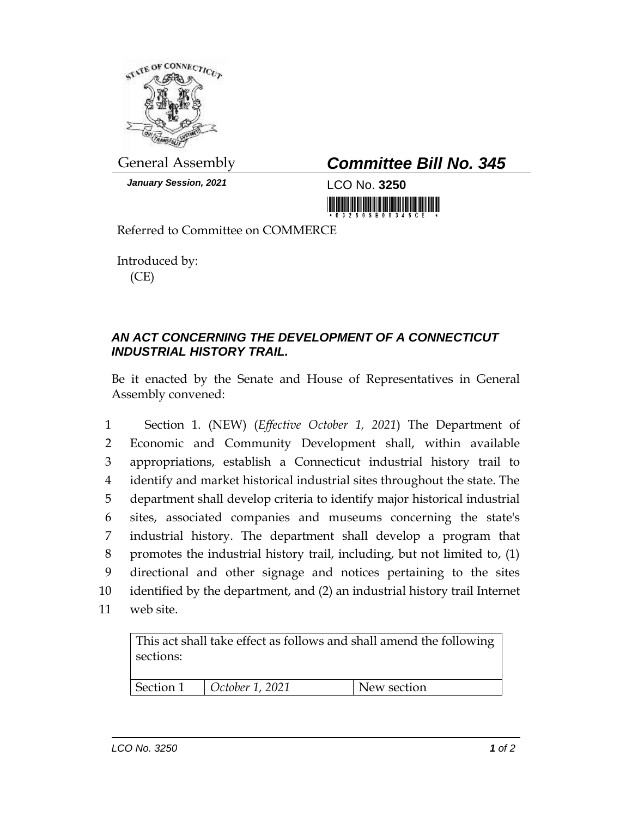

*January Session, 2021* LCO No. **3250**

## General Assembly *Committee Bill No. 345*

<u> III di kacamatan ing Kabupatèn III di kacamatan III di kacamatan III di kacamatan III di kacamatan III di ka</u>

Referred to Committee on COMMERCE

Introduced by: (CE)

## *AN ACT CONCERNING THE DEVELOPMENT OF A CONNECTICUT INDUSTRIAL HISTORY TRAIL.*

Be it enacted by the Senate and House of Representatives in General Assembly convened:

 Section 1. (NEW) (*Effective October 1, 2021*) The Department of Economic and Community Development shall, within available appropriations, establish a Connecticut industrial history trail to identify and market historical industrial sites throughout the state. The department shall develop criteria to identify major historical industrial sites, associated companies and museums concerning the state's industrial history. The department shall develop a program that promotes the industrial history trail, including, but not limited to, (1) directional and other signage and notices pertaining to the sites identified by the department, and (2) an industrial history trail Internet web site.

| This act shall take effect as follows and shall amend the following<br>sections: |                 |             |  |
|----------------------------------------------------------------------------------|-----------------|-------------|--|
| Section 1                                                                        | October 1, 2021 | New section |  |